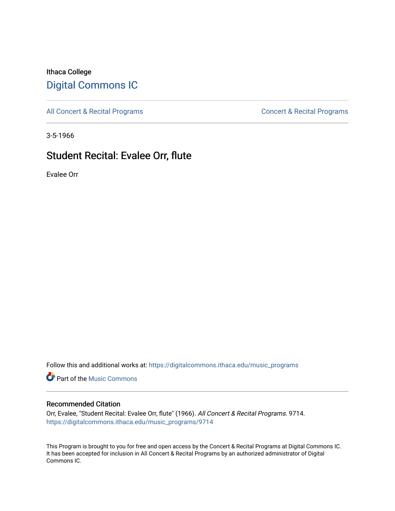## Ithaca College [Digital Commons IC](https://digitalcommons.ithaca.edu/)

[All Concert & Recital Programs](https://digitalcommons.ithaca.edu/music_programs) **Concert & Recital Programs** Concert & Recital Programs

3-5-1966

# Student Recital: Evalee Orr, flute

Evalee Orr

Follow this and additional works at: [https://digitalcommons.ithaca.edu/music\\_programs](https://digitalcommons.ithaca.edu/music_programs?utm_source=digitalcommons.ithaca.edu%2Fmusic_programs%2F9714&utm_medium=PDF&utm_campaign=PDFCoverPages) 

**Part of the Music Commons** 

### Recommended Citation

Orr, Evalee, "Student Recital: Evalee Orr, flute" (1966). All Concert & Recital Programs. 9714. [https://digitalcommons.ithaca.edu/music\\_programs/9714](https://digitalcommons.ithaca.edu/music_programs/9714?utm_source=digitalcommons.ithaca.edu%2Fmusic_programs%2F9714&utm_medium=PDF&utm_campaign=PDFCoverPages) 

This Program is brought to you for free and open access by the Concert & Recital Programs at Digital Commons IC. It has been accepted for inclusion in All Concert & Recital Programs by an authorized administrator of Digital Commons IC.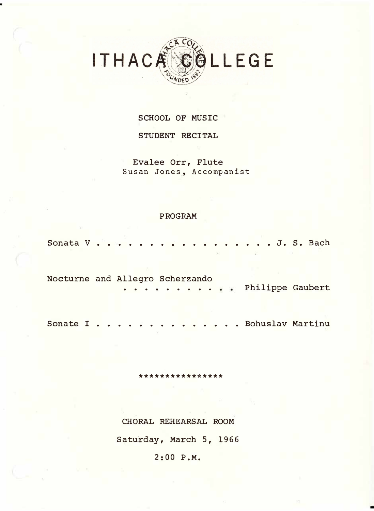

#### SCHOOL OF MUSIC

#### STUDENT RECITAL

Evalee Orr, Flute Susan Jones, Accompanist

#### **PROGRAM**

Sonata V . . . . . . . . . . . . . . . . . J. S. Bach

Nocturne and Allegro Scherzando .. Philippe Gaubert

Sonate I . . . . . . . . . . . . . . Bohuslav Martinu

\*\*\*\*\*\*\*\*\*\*\*\*\*\*

CHORAL REHEARSAL ROOM

Saturday, March 5, 1966

2:00 P.M.